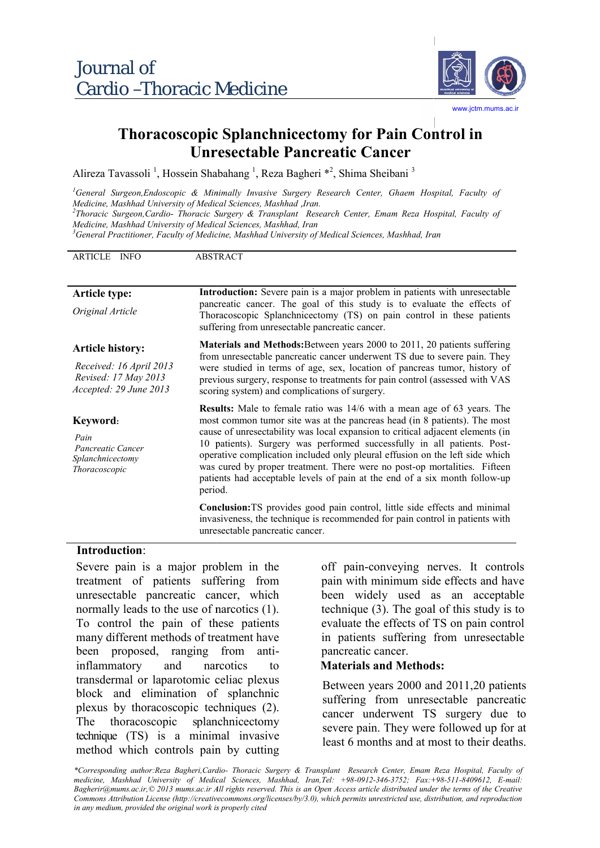

# **Thoracoscopic Splanchnicectomy for Pain Control in Unresectable Pancreatic Cancer**

Alireza Tavassoli<sup>1</sup>, Hossein Shabahang<sup>1</sup>, Reza Bagheri \*<sup>2</sup>, Shima Sheibani<sup>3</sup>

|                                                                                                                                                                                                                                                                                                                                                                                                                                                                                                                                                                                                                       |                                                                                                                                                                                                                                                                                                                                                                     | Alireza Tavassoli <sup>1</sup> , Hossein Shabahang <sup>1</sup> , Reza Bagheri <sup>*2</sup> , Shima Sheibani <sup>3</sup>                                                                                                                                                                                                                                                                                                                                                                                                                                          |  |
|-----------------------------------------------------------------------------------------------------------------------------------------------------------------------------------------------------------------------------------------------------------------------------------------------------------------------------------------------------------------------------------------------------------------------------------------------------------------------------------------------------------------------------------------------------------------------------------------------------------------------|---------------------------------------------------------------------------------------------------------------------------------------------------------------------------------------------------------------------------------------------------------------------------------------------------------------------------------------------------------------------|---------------------------------------------------------------------------------------------------------------------------------------------------------------------------------------------------------------------------------------------------------------------------------------------------------------------------------------------------------------------------------------------------------------------------------------------------------------------------------------------------------------------------------------------------------------------|--|
| Medicine, Mashhad University of Medical Sciences, Mashhad ,Iran.<br>Medicine, Mashhad University of Medical Sciences, Mashhad, Iran                                                                                                                                                                                                                                                                                                                                                                                                                                                                                   |                                                                                                                                                                                                                                                                                                                                                                     | General Surgeon, Endoscopic & Minimally Invasive Surgery Research Center, Ghaem Hospital, Faculty of<br><sup>2</sup> Thoracic Surgeon, Cardio- Thoracic Surgery & Transplant Research Center, Emam Reza Hospital, Faculty of<br>${}^3$ General Practitioner, Faculty of Medicine, Mashhad University of Medical Sciences, Mashhad, Iran                                                                                                                                                                                                                             |  |
| ARTICLE INFO                                                                                                                                                                                                                                                                                                                                                                                                                                                                                                                                                                                                          | <b>ABSTRACT</b>                                                                                                                                                                                                                                                                                                                                                     |                                                                                                                                                                                                                                                                                                                                                                                                                                                                                                                                                                     |  |
| <b>Article type:</b><br>Original Article                                                                                                                                                                                                                                                                                                                                                                                                                                                                                                                                                                              | Introduction: Severe pain is a major problem in patients with unresectable<br>pancreatic cancer. The goal of this study is to evaluate the effects of<br>Thoracoscopic Splanchnicectomy (TS) on pain control in these patients<br>suffering from unresectable pancreatic cancer.                                                                                    |                                                                                                                                                                                                                                                                                                                                                                                                                                                                                                                                                                     |  |
| <b>Article history:</b><br>Received: 16 April 2013<br>Revised: 17 May 2013<br>Accepted: 29 June 2013                                                                                                                                                                                                                                                                                                                                                                                                                                                                                                                  | Materials and Methods: Between years 2000 to 2011, 20 patients suffering<br>from unresectable pancreatic cancer underwent TS due to severe pain. They<br>were studied in terms of age, sex, location of pancreas tumor, history of<br>previous surgery, response to treatments for pain control (assessed with VAS<br>scoring system) and complications of surgery. |                                                                                                                                                                                                                                                                                                                                                                                                                                                                                                                                                                     |  |
| Keyword:<br>Pain<br>Pancreatic Cancer<br>Splanchnicectomy<br>Thoracoscopic                                                                                                                                                                                                                                                                                                                                                                                                                                                                                                                                            | period.                                                                                                                                                                                                                                                                                                                                                             | <b>Results:</b> Male to female ratio was 14/6 with a mean age of 63 years. The<br>most common tumor site was at the pancreas head (in 8 patients). The most<br>cause of unresectability was local expansion to critical adjacent elements (in<br>10 patients). Surgery was performed successfully in all patients. Post-<br>operative complication included only pleural effusion on the left side which<br>was cured by proper treatment. There were no post-op mortalities. Fifteen<br>patients had acceptable levels of pain at the end of a six month follow-up |  |
|                                                                                                                                                                                                                                                                                                                                                                                                                                                                                                                                                                                                                       | unresectable pancreatic cancer.                                                                                                                                                                                                                                                                                                                                     | Conclusion: TS provides good pain control, little side effects and minimal<br>invasiveness, the technique is recommended for pain control in patients with                                                                                                                                                                                                                                                                                                                                                                                                          |  |
| Introduction:<br>Severe pain is a major problem in the<br>treatment of patients suffering from<br>unresectable pancreatic cancer, which<br>normally leads to the use of narcotics (1).<br>To control the pain of these patients<br>many different methods of treatment have<br>been proposed, ranging from<br>anti-<br>inflammatory<br>and<br>narcotics<br>to<br>transdermal or laparotomic celiac plexus<br>block and elimination of splanchnic<br>plexus by thoracoscopic techniques (2).<br>thoracoscopic splanchnicectomy<br>The<br>technique (TS) is a minimal invasive<br>method which controls pain by cutting |                                                                                                                                                                                                                                                                                                                                                                     | off pain-conveying nerves. It contro<br>pain with minimum side effects and have<br>been widely used as an acceptab<br>technique $(3)$ . The goal of this study is<br>evaluate the effects of TS on pain contr<br>in patients suffering from unresectab<br>pancreatic cancer.<br><b>Materials and Methods:</b>                                                                                                                                                                                                                                                       |  |
|                                                                                                                                                                                                                                                                                                                                                                                                                                                                                                                                                                                                                       |                                                                                                                                                                                                                                                                                                                                                                     | Between years 2000 and 2011,20 patien<br>suffering from unresectable pancrea<br>cancer underwent TS surgery due<br>severe pain. They were followed up for<br>least 6 months and at most to their deatl                                                                                                                                                                                                                                                                                                                                                              |  |
| in any medium, provided the original work is properly cited                                                                                                                                                                                                                                                                                                                                                                                                                                                                                                                                                           |                                                                                                                                                                                                                                                                                                                                                                     | *Corresponding author:Reza Bagheri,Cardio- Thoracic Surgery & Transplant Research Center, Emam Reza Hospital, Faculty<br>medicine, Mashhad University of Medical Sciences, Mashhad, Iran, Tel: +98-0912-346-3752; Fax: +98-511-8409612, E-ma<br>Bagherir@mums.ac.ir, © 2013 mums.ac.ir All rights reserved. This is an Open Access article distributed under the terms of the Creati<br>Commons Attribution License (http://creativecommons.org/licenses/by/3.0), which permits unrestricted use, distribution, and reproducti                                      |  |

#### **Introduction**:

off pain-conveying nerves. It controls pain with minimum side effects and have been widely used as an acceptable technique  $(3)$ . The goal of this study is to evaluate the effects of TS on pain control in patients suffering from unresectable pancreatic cancer.

#### **Materials and Methods:**

Between years 2000 and 2011,20 patients suffering from unresectable pancreatic cancer underwent TS surgery due to severe pain. They were followed up for at least 6 months and at most to their deaths.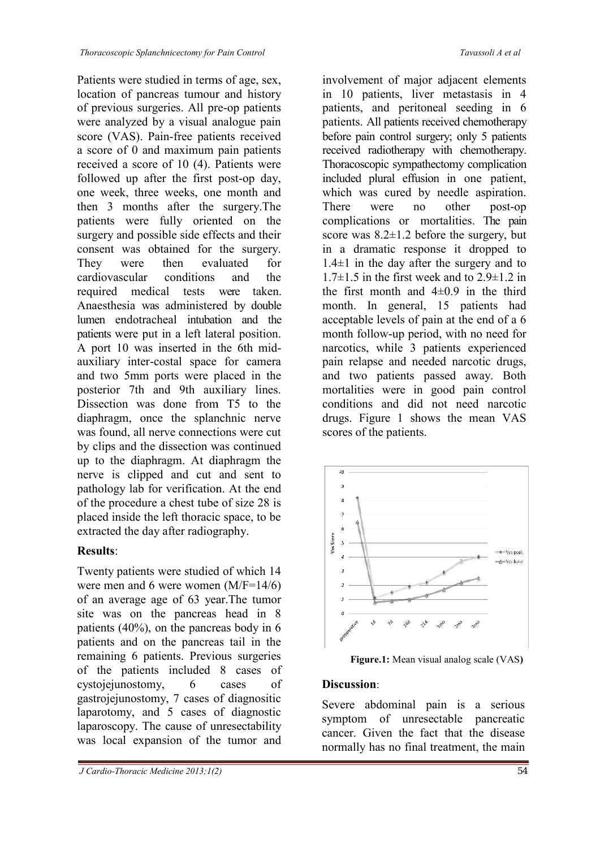Patients were studied in terms of age, sex, location of pancreas tumour and history of previous surgeries. All pre-op patients were analyzed by a visual analogue pain score (VAS). Pain-free patients received a score of 0 and maximum pain patients received a score of 10 (4). Patients were followed up after the first post-op day, one week, three weeks, one month and then 3 months after the surgery.The patients were fully oriented on the surgery and possible side effects and their consent was obtained for the surgery. They were then evaluated for cardiovascular conditions and the required medical tests were taken. Anaesthesia was administered by double lumen endotracheal intubation and the patients were put in a left lateral position. A port 10 was inserted in the 6th midauxiliary inter-costal space for camera and two 5mm ports were placed in the posterior 7th and 9th auxiliary lines. Dissection was done from T5 to the diaphragm, once the splanchnic nerve was found, all nerve connections were cut by clips and the dissection was continued up to the diaphragm. At diaphragm the nerve is clipped and cut and sent to pathology lab for verification. At the end of the procedure a chest tube of size 28 is placed inside the left thoracic space, to be extracted the day after radiography. These<br>ones blowskitehomological internal in the space of the constraints were studied in the mass of a<br>galaxies the constraints of the constraints of the constraints of the<br>constraints of the constraints of the constraint

## **Results**:

Twenty patients were studied of which 14 were men and 6 were women (M/F=14/6) of an average age of 63 year.The tumor site was on the pancreas head in 8 patients (40%), on the pancreas body in 6 patients and on the pancreas tail in the remaining 6 patients. Previous surgeries of the patients included 8 cases of cystojejunostomy, 6 cases of gastrojejunostomy, 7 cases of diagnositic laparotomy, and 5 cases of diagnostic laparoscopy. The cause of unresectability was local expansion of the tumor and

*J Cardio-Thoracic Medicine 2013;1(2)* 54

involvement of major adjacent elements in 10 patients, liver metastasis in 4 patients, and peritoneal seeding in 6 patients. All patients received chemotherapy before pain control surgery; only 5 patients received radiotherapy with chemotherapy. Thoracoscopic sympathectomy complication included plural effusion in one patient, which was cured by needle aspiration. There were no other post-op complications or mortalities. The pain score was  $8.2 \pm 1.2$  before the surgery, but in a dramatic response it dropped to  $1.4\pm 1$  in the day after the surgery and to 1.7 $\pm$ 1.5 in the first week and to 2.9 $\pm$ 1.2 in the first month and  $4\pm 0.9$  in the third month. In general, 15 patients had acceptable levels of pain at the end of a 6 month follow-up period, with no need for narcotics, while 3 patients experienced pain relapse and needed narcotic drugs, and two patients passed away. Both mortalities were in good pain control conditions and did not need narcotic drugs. Figure 1 shows the mean VAS scores of the patients.



**Figure.1:** Mean visual analog scale (VAS**)**

### **Discussion**:

Severe abdominal pain is a serious symptom of unresectable pancreatic cancer. Given the fact that the disease normally has no final treatment, the main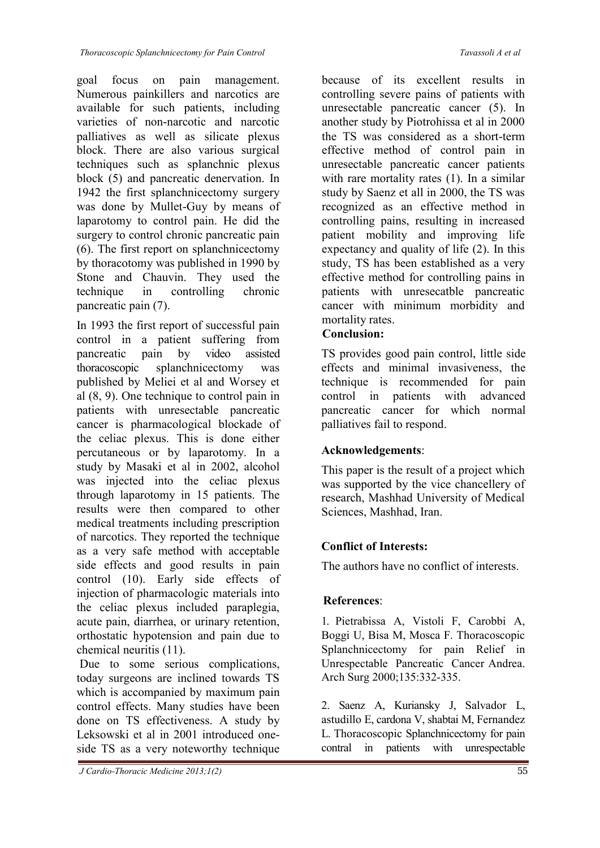goal focus on pain management. Numerous painkillers and narcotics are available for such patients, including varieties of non-narcotic and narcotic palliatives as well as silicate plexus block. There are also various surgical techniques such as splanchnic plexus block (5) and pancreatic denervation. In 1942 the first splanchnicectomy surgery was done by Mullet-Guy by means of laparotomy to control pain. He did the surgery to control chronic pancreatic pain (6). The first report on splanchnicectomy by thoracotomy was published in 1990 by Stone and Chauvin. They used the technique in controlling chronic pancreatic pain (7).

In 1993 the first report of successful pain control in a patient suffering from pancreatic pain by video assisted thoracoscopic splanchnicectomy was published by Meliei et al and Worsey et al (8, 9). One technique to control pain in patients with unresectable pancreatic cancer is pharmacological blockade of the celiac plexus. This is done either percutaneous or by laparotomy. In a study by Masaki et al in 2002, alcohol was injected into the celiac plexus through laparotomy in 15 patients. The results were then compared to other medical treatments including prescription of narcotics. They reported the technique as a very safe method with acceptable side effects and good results in pain control (10). Early side effects of injection of pharmacologic materials into the celiac plexus included paraplegia, acute pain, diarrhea, or urinary retention, orthostatic hypotension and pain due to chemical neuritis (11).

Due to some serious complications, today surgeons are inclined towards TS which is accompanied by maximum pain control effects. Many studies have been done on TS effectiveness. A study by Leksowski et al in 2001 introduced oneside TS as a very noteworthy technique

because of its excellent results in controlling severe pains of patients with unresectable pancreatic cancer (5). In another study by Piotrohissa et al in 2000 the TS was considered as a short-term effective method of control pain in unresectable pancreatic cancer patients with rare mortality rates (1). In a similar study by Saenz et all in 2000, the TS was recognized as an effective method in controlling pains, resulting in increased patient mobility and improving life expectancy and quality of life (2). In this study, TS has been established as a very effective method for controlling pains in patients with unresecatble pancreatic cancer with minimum morbidity and mortality rates.

## **Conclusion:**

TS provides good pain control, little side effects and minimal invasiveness, the technique is recommended for pain control in patients with advanced pancreatic cancer for which normal palliatives fail to respond.

## **Acknowledgements**:

This paper is the result of a project which was supported by the vice chancellery of research, Mashhad University of Medical Sciences, Mashhad, Iran.

## **Conflict of Interests:**

The authors have no conflict of interests.

## **References**:

1. Pietrabissa A, Vistoli F, Carobbi A, Boggi U, Bisa M, Mosca F. Thoracoscopic Splanchnicectomy for pain Relief in Unrespectable Pancreatic Cancer Andrea. Arch Surg 2000;135:332-335.

2. Saenz A, Kuriansky J, Salvador L, astudillo E, cardona V, shabtai M, Fernandez L. Thoracoscopic Splanchnicectomy for pain contral in patients with unrespectable